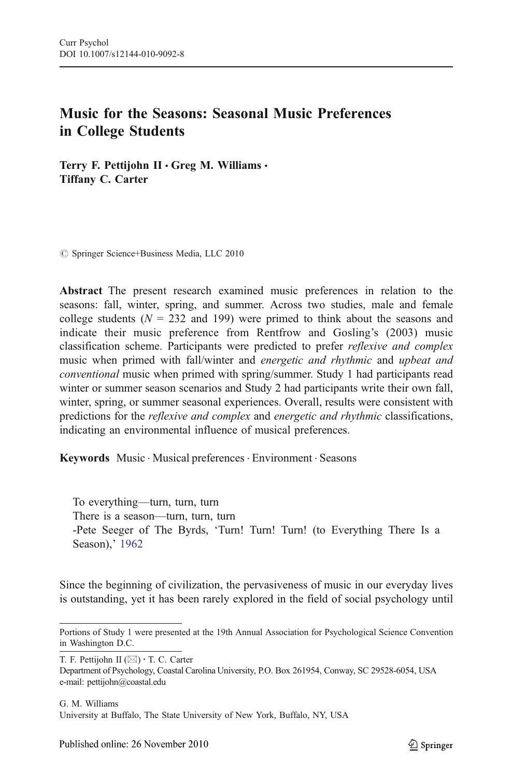# Music for the Seasons: Seasonal Music Preferences in College Students

Terry F. Pettijohn II  $\cdot$  Greg M. Williams  $\cdot$ Tiffany C. Carter

 $©$  Springer Science+Business Media, LLC 2010

Abstract The present research examined music preferences in relation to the seasons: fall, winter, spring, and summer. Across two studies, male and female college students ( $N = 232$  and 199) were primed to think about the seasons and indicate their music preference from Rentfrow and Gosling's (2003) music classification scheme. Participants were predicted to prefer reflexive and complex music when primed with fall/winter and energetic and rhythmic and upbeat and conventional music when primed with spring/summer. Study 1 had participants read winter or summer season scenarios and Study 2 had participants write their own fall, winter, spring, or summer seasonal experiences. Overall, results were consistent with predictions for the reflexive and complex and energetic and rhythmic classifications, indicating an environmental influence of musical preferences.

Keywords Music . Musical preferences . Environment . Seasons

To everything—turn, turn, turn There is a season—turn, turn, turn -Pete Seeger of The Byrds, 'Turn! Turn! Turn! (to Everything There Is a Season),' [1962](#page-17-0)

Since the beginning of civilization, the pervasiveness of music in our everyday lives is outstanding, yet it has been rarely explored in the field of social psychology until

T. F. Pettijohn II  $(\boxtimes) \cdot$  T. C. Carter

Portions of Study 1 were presented at the 19th Annual Association for Psychological Science Convention in Washington D.C.

Department of Psychology, Coastal Carolina University, P.O. Box 261954, Conway, SC 29528-6054, USA e-mail: pettijohn@coastal.edu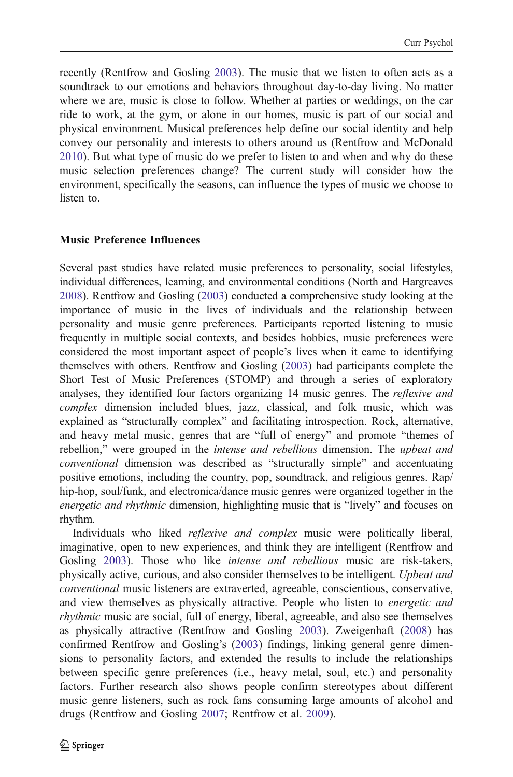recently (Rentfrow and Gosling [2003\)](#page-16-0). The music that we listen to often acts as a soundtrack to our emotions and behaviors throughout day-to-day living. No matter where we are, music is close to follow. Whether at parties or weddings, on the car ride to work, at the gym, or alone in our homes, music is part of our social and physical environment. Musical preferences help define our social identity and help convey our personality and interests to others around us (Rentfrow and McDonald [2010\)](#page-17-0). But what type of music do we prefer to listen to and when and why do these music selection preferences change? The current study will consider how the environment, specifically the seasons, can influence the types of music we choose to listen to.

#### Music Preference Influences

Several past studies have related music preferences to personality, social lifestyles, individual differences, learning, and environmental conditions (North and Hargreaves [2008\)](#page-16-0). Rentfrow and Gosling ([2003](#page-16-0)) conducted a comprehensive study looking at the importance of music in the lives of individuals and the relationship between personality and music genre preferences. Participants reported listening to music frequently in multiple social contexts, and besides hobbies, music preferences were considered the most important aspect of people's lives when it came to identifying themselves with others. Rentfrow and Gosling [\(2003\)](#page-16-0) had participants complete the Short Test of Music Preferences (STOMP) and through a series of exploratory analyses, they identified four factors organizing 14 music genres. The reflexive and complex dimension included blues, jazz, classical, and folk music, which was explained as "structurally complex" and facilitating introspection. Rock, alternative, and heavy metal music, genres that are "full of energy" and promote "themes of rebellion," were grouped in the *intense and rebellious* dimension. The *upbeat and* conventional dimension was described as "structurally simple" and accentuating positive emotions, including the country, pop, soundtrack, and religious genres. Rap/ hip-hop, soul/funk, and electronica/dance music genres were organized together in the energetic and rhythmic dimension, highlighting music that is "lively" and focuses on rhythm.

Individuals who liked reflexive and complex music were politically liberal, imaginative, open to new experiences, and think they are intelligent (Rentfrow and Gosling [2003\)](#page-16-0). Those who like *intense and rebellious* music are risk-takers, physically active, curious, and also consider themselves to be intelligent. Upbeat and conventional music listeners are extraverted, agreeable, conscientious, conservative, and view themselves as physically attractive. People who listen to energetic and rhythmic music are social, full of energy, liberal, agreeable, and also see themselves as physically attractive (Rentfrow and Gosling [2003](#page-16-0)). Zweigenhaft [\(2008](#page-17-0)) has confirmed Rentfrow and Gosling's ([2003\)](#page-16-0) findings, linking general genre dimensions to personality factors, and extended the results to include the relationships between specific genre preferences (i.e., heavy metal, soul, etc.) and personality factors. Further research also shows people confirm stereotypes about different music genre listeners, such as rock fans consuming large amounts of alcohol and drugs (Rentfrow and Gosling [2007](#page-16-0); Rentfrow et al. [2009](#page-17-0)).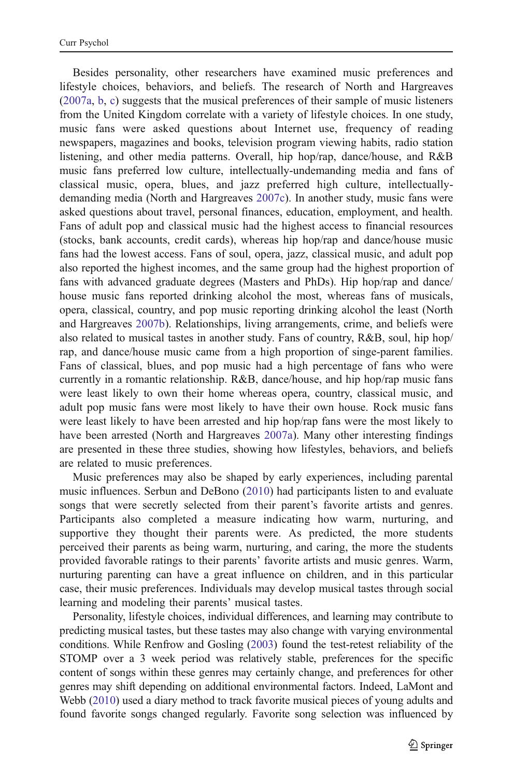Besides personality, other researchers have examined music preferences and lifestyle choices, behaviors, and beliefs. The research of North and Hargreaves [\(2007a,](#page-16-0) [b,](#page-16-0) [c\)](#page-16-0) suggests that the musical preferences of their sample of music listeners from the United Kingdom correlate with a variety of lifestyle choices. In one study, music fans were asked questions about Internet use, frequency of reading newspapers, magazines and books, television program viewing habits, radio station listening, and other media patterns. Overall, hip hop/rap, dance/house, and R&B music fans preferred low culture, intellectually-undemanding media and fans of classical music, opera, blues, and jazz preferred high culture, intellectuallydemanding media (North and Hargreaves [2007c](#page-16-0)). In another study, music fans were asked questions about travel, personal finances, education, employment, and health. Fans of adult pop and classical music had the highest access to financial resources (stocks, bank accounts, credit cards), whereas hip hop/rap and dance/house music fans had the lowest access. Fans of soul, opera, jazz, classical music, and adult pop also reported the highest incomes, and the same group had the highest proportion of fans with advanced graduate degrees (Masters and PhDs). Hip hop/rap and dance/ house music fans reported drinking alcohol the most, whereas fans of musicals, opera, classical, country, and pop music reporting drinking alcohol the least (North and Hargreaves [2007b](#page-16-0)). Relationships, living arrangements, crime, and beliefs were also related to musical tastes in another study. Fans of country, R&B, soul, hip hop/ rap, and dance/house music came from a high proportion of singe-parent families. Fans of classical, blues, and pop music had a high percentage of fans who were currently in a romantic relationship. R&B, dance/house, and hip hop/rap music fans were least likely to own their home whereas opera, country, classical music, and adult pop music fans were most likely to have their own house. Rock music fans were least likely to have been arrested and hip hop/rap fans were the most likely to have been arrested (North and Hargreaves [2007a\)](#page-16-0). Many other interesting findings are presented in these three studies, showing how lifestyles, behaviors, and beliefs are related to music preferences.

Music preferences may also be shaped by early experiences, including parental music influences. Serbun and DeBono [\(2010](#page-17-0)) had participants listen to and evaluate songs that were secretly selected from their parent's favorite artists and genres. Participants also completed a measure indicating how warm, nurturing, and supportive they thought their parents were. As predicted, the more students perceived their parents as being warm, nurturing, and caring, the more the students provided favorable ratings to their parents' favorite artists and music genres. Warm, nurturing parenting can have a great influence on children, and in this particular case, their music preferences. Individuals may develop musical tastes through social learning and modeling their parents' musical tastes.

Personality, lifestyle choices, individual differences, and learning may contribute to predicting musical tastes, but these tastes may also change with varying environmental conditions. While Renfrow and Gosling ([2003](#page-16-0)) found the test-retest reliability of the STOMP over a 3 week period was relatively stable, preferences for the specific content of songs within these genres may certainly change, and preferences for other genres may shift depending on additional environmental factors. Indeed, LaMont and Webb [\(2010](#page-16-0)) used a diary method to track favorite musical pieces of young adults and found favorite songs changed regularly. Favorite song selection was influenced by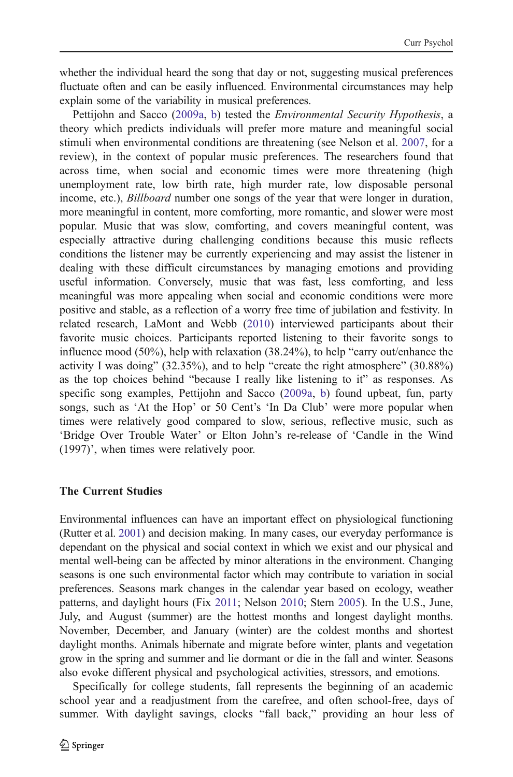whether the individual heard the song that day or not, suggesting musical preferences fluctuate often and can be easily influenced. Environmental circumstances may help explain some of the variability in musical preferences.

Pettijohn and Sacco [\(2009a,](#page-16-0) [b\)](#page-16-0) tested the *Environmental Security Hypothesis*, a theory which predicts individuals will prefer more mature and meaningful social stimuli when environmental conditions are threatening (see Nelson et al. [2007](#page-16-0), for a review), in the context of popular music preferences. The researchers found that across time, when social and economic times were more threatening (high unemployment rate, low birth rate, high murder rate, low disposable personal income, etc.), *Billboard* number one songs of the year that were longer in duration, more meaningful in content, more comforting, more romantic, and slower were most popular. Music that was slow, comforting, and covers meaningful content, was especially attractive during challenging conditions because this music reflects conditions the listener may be currently experiencing and may assist the listener in dealing with these difficult circumstances by managing emotions and providing useful information. Conversely, music that was fast, less comforting, and less meaningful was more appealing when social and economic conditions were more positive and stable, as a reflection of a worry free time of jubilation and festivity. In related research, LaMont and Webb ([2010\)](#page-16-0) interviewed participants about their favorite music choices. Participants reported listening to their favorite songs to influence mood (50%), help with relaxation (38.24%), to help "carry out/enhance the activity I was doing" (32.35%), and to help "create the right atmosphere" (30.88%) as the top choices behind "because I really like listening to it" as responses. As specific song examples, Pettijohn and Sacco [\(2009a,](#page-16-0) [b\)](#page-16-0) found upbeat, fun, party songs, such as 'At the Hop' or 50 Cent's 'In Da Club' were more popular when times were relatively good compared to slow, serious, reflective music, such as 'Bridge Over Trouble Water' or Elton John's re-release of 'Candle in the Wind (1997)', when times were relatively poor.

#### The Current Studies

Environmental influences can have an important effect on physiological functioning (Rutter et al. [2001](#page-17-0)) and decision making. In many cases, our everyday performance is dependant on the physical and social context in which we exist and our physical and mental well-being can be affected by minor alterations in the environment. Changing seasons is one such environmental factor which may contribute to variation in social preferences. Seasons mark changes in the calendar year based on ecology, weather patterns, and daylight hours (Fix [2011;](#page-16-0) Nelson [2010](#page-16-0); Stern [2005](#page-17-0)). In the U.S., June, July, and August (summer) are the hottest months and longest daylight months. November, December, and January (winter) are the coldest months and shortest daylight months. Animals hibernate and migrate before winter, plants and vegetation grow in the spring and summer and lie dormant or die in the fall and winter. Seasons also evoke different physical and psychological activities, stressors, and emotions.

Specifically for college students, fall represents the beginning of an academic school year and a readjustment from the carefree, and often school-free, days of summer. With daylight savings, clocks "fall back," providing an hour less of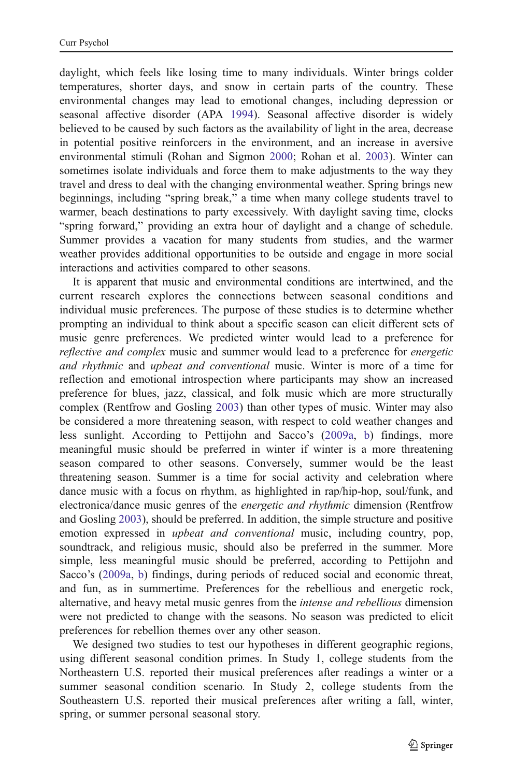daylight, which feels like losing time to many individuals. Winter brings colder temperatures, shorter days, and snow in certain parts of the country. These environmental changes may lead to emotional changes, including depression or seasonal affective disorder (APA [1994](#page-16-0)). Seasonal affective disorder is widely believed to be caused by such factors as the availability of light in the area, decrease in potential positive reinforcers in the environment, and an increase in aversive environmental stimuli (Rohan and Sigmon [2000](#page-17-0); Rohan et al. [2003](#page-17-0)). Winter can sometimes isolate individuals and force them to make adjustments to the way they travel and dress to deal with the changing environmental weather. Spring brings new beginnings, including "spring break," a time when many college students travel to warmer, beach destinations to party excessively. With daylight saving time, clocks "spring forward," providing an extra hour of daylight and a change of schedule. Summer provides a vacation for many students from studies, and the warmer weather provides additional opportunities to be outside and engage in more social interactions and activities compared to other seasons.

It is apparent that music and environmental conditions are intertwined, and the current research explores the connections between seasonal conditions and individual music preferences. The purpose of these studies is to determine whether prompting an individual to think about a specific season can elicit different sets of music genre preferences. We predicted winter would lead to a preference for reflective and complex music and summer would lead to a preference for energetic and rhythmic and upbeat and conventional music. Winter is more of a time for reflection and emotional introspection where participants may show an increased preference for blues, jazz, classical, and folk music which are more structurally complex (Rentfrow and Gosling [2003](#page-16-0)) than other types of music. Winter may also be considered a more threatening season, with respect to cold weather changes and less sunlight. According to Pettijohn and Sacco's ([2009a](#page-16-0), [b\)](#page-16-0) findings, more meaningful music should be preferred in winter if winter is a more threatening season compared to other seasons. Conversely, summer would be the least threatening season. Summer is a time for social activity and celebration where dance music with a focus on rhythm, as highlighted in rap/hip-hop, soul/funk, and electronica/dance music genres of the *energetic and rhythmic* dimension (Rentfrow and Gosling [2003\)](#page-16-0), should be preferred. In addition, the simple structure and positive emotion expressed in *upbeat and conventional* music, including country, pop, soundtrack, and religious music, should also be preferred in the summer. More simple, less meaningful music should be preferred, according to Pettijohn and Sacco's ([2009a](#page-16-0), [b](#page-16-0)) findings, during periods of reduced social and economic threat, and fun, as in summertime. Preferences for the rebellious and energetic rock, alternative, and heavy metal music genres from the intense and rebellious dimension were not predicted to change with the seasons. No season was predicted to elicit preferences for rebellion themes over any other season.

We designed two studies to test our hypotheses in different geographic regions, using different seasonal condition primes. In Study 1, college students from the Northeastern U.S. reported their musical preferences after readings a winter or a summer seasonal condition scenario. In Study 2, college students from the Southeastern U.S. reported their musical preferences after writing a fall, winter, spring, or summer personal seasonal story.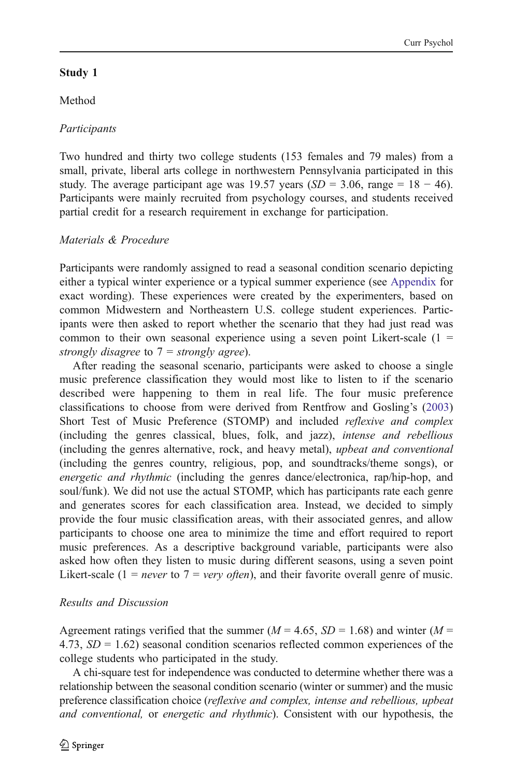# <span id="page-5-0"></span>Study 1

# Method

# **Participants**

Two hundred and thirty two college students (153 females and 79 males) from a small, private, liberal arts college in northwestern Pennsylvania participated in this study. The average participant age was 19.57 years ( $SD = 3.06$ , range = 18 – 46). Participants were mainly recruited from psychology courses, and students received partial credit for a research requirement in exchange for participation.

# Materials & Procedure

Participants were randomly assigned to read a seasonal condition scenario depicting either a typical winter experience or a typical summer experience (see [Appendix](#page-15-0) for exact wording). These experiences were created by the experimenters, based on common Midwestern and Northeastern U.S. college student experiences. Participants were then asked to report whether the scenario that they had just read was common to their own seasonal experience using a seven point Likert-scale  $(1 =$ strongly disagree to  $7 =$  strongly agree).

After reading the seasonal scenario, participants were asked to choose a single music preference classification they would most like to listen to if the scenario described were happening to them in real life. The four music preference classifications to choose from were derived from Rentfrow and Gosling's [\(2003](#page-16-0)) Short Test of Music Preference (STOMP) and included reflexive and complex (including the genres classical, blues, folk, and jazz), intense and rebellious (including the genres alternative, rock, and heavy metal), upbeat and conventional (including the genres country, religious, pop, and soundtracks/theme songs), or energetic and rhythmic (including the genres dance/electronica, rap/hip-hop, and soul/funk). We did not use the actual STOMP, which has participants rate each genre and generates scores for each classification area. Instead, we decided to simply provide the four music classification areas, with their associated genres, and allow participants to choose one area to minimize the time and effort required to report music preferences. As a descriptive background variable, participants were also asked how often they listen to music during different seasons, using a seven point Likert-scale (1 = *never* to 7 = *very often*), and their favorite overall genre of music.

# Results and Discussion

Agreement ratings verified that the summer ( $M = 4.65$ ,  $SD = 1.68$ ) and winter ( $M =$ 4.73,  $SD = 1.62$ ) seasonal condition scenarios reflected common experiences of the college students who participated in the study.

A chi-square test for independence was conducted to determine whether there was a relationship between the seasonal condition scenario (winter or summer) and the music preference classification choice (reflexive and complex, intense and rebellious, upbeat and conventional, or energetic and rhythmic). Consistent with our hypothesis, the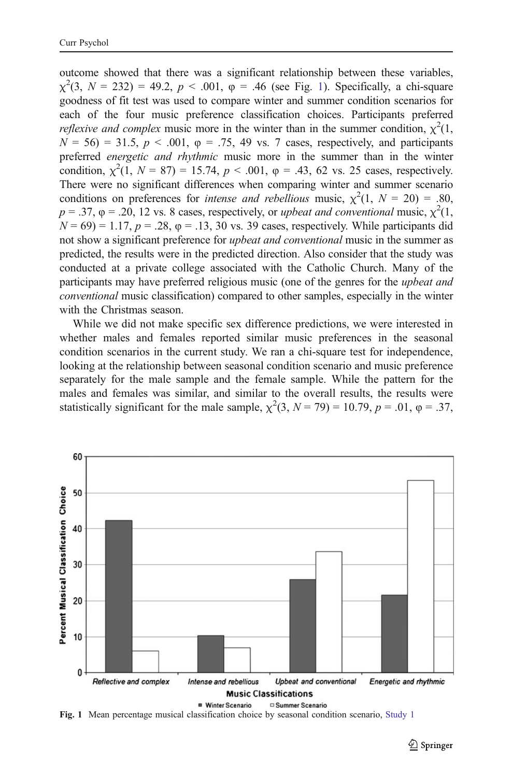outcome showed that there was a significant relationship between these variables,  $\chi^2(3, N = 232) = 49.2, p < .001, \varphi = .46$  (see Fig. 1). Specifically, a chi-square goodness of fit test was used to compare winter and summer condition scenarios for each of the four music preference classification choices. Participants preferred *reflexive and complex* music more in the winter than in the summer condition,  $\chi^2(1)$ ,  $N = 56$  = 31.5,  $p < .001$ ,  $\varphi = .75$ , 49 vs. 7 cases, respectively, and participants preferred energetic and rhythmic music more in the summer than in the winter condition,  $\chi^2(1, N = 87) = 15.74, p < .001, \varphi = .43, 62$  vs. 25 cases, respectively. There were no significant differences when comparing winter and summer scenario conditions on preferences for *intense and rebellious* music,  $\chi^2(1, N = 20) = .80$ ,  $p = .37$ ,  $\varphi = .20$ , 12 vs. 8 cases, respectively, or *upbeat and conventional* music,  $\chi^2(1)$ ,  $N = 69$ ) = 1.17,  $p = .28$ ,  $\varphi = .13$ , 30 vs. 39 cases, respectively. While participants did not show a significant preference for *upbeat and conventional* music in the summer as predicted, the results were in the predicted direction. Also consider that the study was conducted at a private college associated with the Catholic Church. Many of the participants may have preferred religious music (one of the genres for the upbeat and conventional music classification) compared to other samples, especially in the winter with the Christmas season.

While we did not make specific sex difference predictions, we were interested in whether males and females reported similar music preferences in the seasonal condition scenarios in the current study. We ran a chi-square test for independence, looking at the relationship between seasonal condition scenario and music preference separately for the male sample and the female sample. While the pattern for the males and females was similar, and similar to the overall results, the results were statistically significant for the male sample,  $\chi^2(3, N = 79) = 10.79$ ,  $p = .01$ ,  $\varphi = .37$ ,



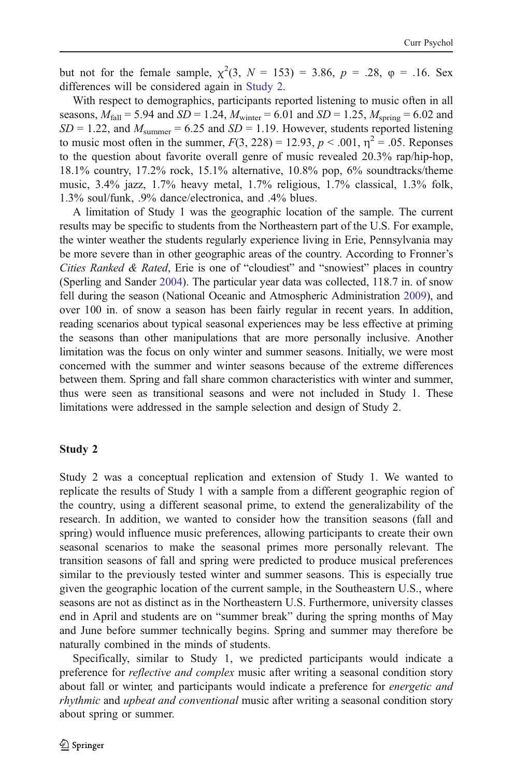<span id="page-7-0"></span>but not for the female sample,  $\chi^2(3, N = 153) = 3.86, p = .28, \varphi = .16$ . Sex differences will be considered again in Study 2.

With respect to demographics, participants reported listening to music often in all seasons,  $M_{fall} = 5.94$  and  $SD = 1.24$ ,  $M_{winter} = 6.01$  and  $SD = 1.25$ ,  $M_{spring} = 6.02$  and  $SD = 1.22$ , and  $M<sub>sumer</sub> = 6.25$  and  $SD = 1.19$ . However, students reported listening to music most often in the summer,  $F(3, 228) = 12.93$ ,  $p < .001$ ,  $n^2 = .05$ . Reponses to the question about favorite overall genre of music revealed 20.3% rap/hip-hop, 18.1% country, 17.2% rock, 15.1% alternative, 10.8% pop, 6% soundtracks/theme music, 3.4% jazz, 1.7% heavy metal, 1.7% religious, 1.7% classical, 1.3% folk, 1.3% soul/funk, .9% dance/electronica, and .4% blues.

A limitation of Study 1 was the geographic location of the sample. The current results may be specific to students from the Northeastern part of the U.S. For example, the winter weather the students regularly experience living in Erie, Pennsylvania may be more severe than in other geographic areas of the country. According to Fronner's Cities Ranked & Rated, Erie is one of "cloudiest" and "snowiest" places in country (Sperling and Sander [2004](#page-17-0)). The particular year data was collected, 118.7 in. of snow fell during the season (National Oceanic and Atmospheric Administration [2009](#page-16-0)), and over 100 in. of snow a season has been fairly regular in recent years. In addition, reading scenarios about typical seasonal experiences may be less effective at priming the seasons than other manipulations that are more personally inclusive. Another limitation was the focus on only winter and summer seasons. Initially, we were most concerned with the summer and winter seasons because of the extreme differences between them. Spring and fall share common characteristics with winter and summer, thus were seen as transitional seasons and were not included in Study 1. These limitations were addressed in the sample selection and design of Study 2.

#### Study 2

Study 2 was a conceptual replication and extension of Study 1. We wanted to replicate the results of Study 1 with a sample from a different geographic region of the country, using a different seasonal prime, to extend the generalizability of the research. In addition, we wanted to consider how the transition seasons (fall and spring) would influence music preferences, allowing participants to create their own seasonal scenarios to make the seasonal primes more personally relevant. The transition seasons of fall and spring were predicted to produce musical preferences similar to the previously tested winter and summer seasons. This is especially true given the geographic location of the current sample, in the Southeastern U.S., where seasons are not as distinct as in the Northeastern U.S. Furthermore, university classes end in April and students are on "summer break" during the spring months of May and June before summer technically begins. Spring and summer may therefore be naturally combined in the minds of students.

Specifically, similar to Study 1, we predicted participants would indicate a preference for *reflective and complex* music after writing a seasonal condition story about fall or winter, and participants would indicate a preference for energetic and *rhythmic* and *upbeat and conventional* music after writing a seasonal condition story about spring or summer.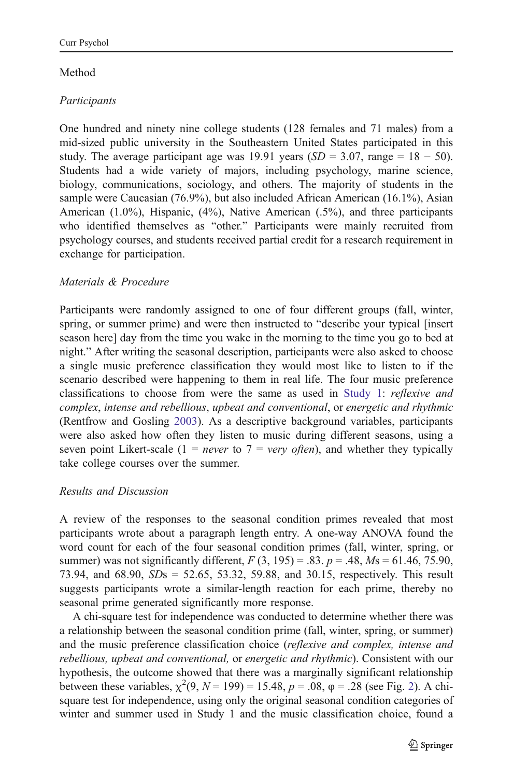### Method

# **Participants**

One hundred and ninety nine college students (128 females and 71 males) from a mid-sized public university in the Southeastern United States participated in this study. The average participant age was 19.91 years  $(SD = 3.07, \text{ range} = 18 - 50)$ . Students had a wide variety of majors, including psychology, marine science, biology, communications, sociology, and others. The majority of students in the sample were Caucasian (76.9%), but also included African American (16.1%), Asian American (1.0%), Hispanic, (4%), Native American (.5%), and three participants who identified themselves as "other." Participants were mainly recruited from psychology courses, and students received partial credit for a research requirement in exchange for participation.

# Materials & Procedure

Participants were randomly assigned to one of four different groups (fall, winter, spring, or summer prime) and were then instructed to "describe your typical [insert season here] day from the time you wake in the morning to the time you go to bed at night." After writing the seasonal description, participants were also asked to choose a single music preference classification they would most like to listen to if the scenario described were happening to them in real life. The four music preference classifications to choose from were the same as used in [Study 1:](#page-5-0) reflexive and complex, intense and rebellious, upbeat and conventional, or energetic and rhythmic (Rentfrow and Gosling [2003](#page-16-0)). As a descriptive background variables, participants were also asked how often they listen to music during different seasons, using a seven point Likert-scale (1 = *never* to 7 = *very often*), and whether they typically take college courses over the summer.

### Results and Discussion

A review of the responses to the seasonal condition primes revealed that most participants wrote about a paragraph length entry. A one-way ANOVA found the word count for each of the four seasonal condition primes (fall, winter, spring, or summer) was not significantly different,  $F(3, 195) = .83$ .  $p = .48$ ,  $Ms = 61.46$ , 75.90, 73.94, and 68.90, SDs = 52.65, 53.32, 59.88, and 30.15, respectively. This result suggests participants wrote a similar-length reaction for each prime, thereby no seasonal prime generated significantly more response.

A chi-square test for independence was conducted to determine whether there was a relationship between the seasonal condition prime (fall, winter, spring, or summer) and the music preference classification choice (reflexive and complex, intense and rebellious, upbeat and conventional, or energetic and rhythmic). Consistent with our hypothesis, the outcome showed that there was a marginally significant relationship between these variables,  $\chi^2(9, N = 199) = 15.48, p = .08, \varphi = .28$  (see Fig. [2\)](#page-9-0). A chisquare test for independence, using only the original seasonal condition categories of winter and summer used in Study 1 and the music classification choice, found a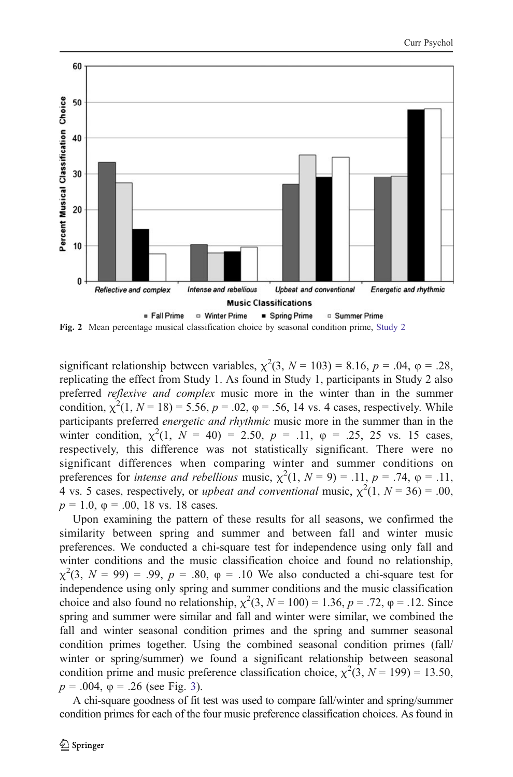<span id="page-9-0"></span>

Fig. 2 Mean percentage musical classification choice by seasonal condition prime, [Study 2](#page-7-0)

significant relationship between variables,  $\chi^2(3, N = 103) = 8.16$ ,  $p = .04$ ,  $\varphi = .28$ , replicating the effect from Study 1. As found in Study 1, participants in Study 2 also preferred reflexive and complex music more in the winter than in the summer condition,  $\chi^2(1, N = 18) = 5.56$ ,  $p = .02$ ,  $\varphi = .56$ , 14 vs. 4 cases, respectively. While participants preferred energetic and rhythmic music more in the summer than in the winter condition,  $\chi^2(1, N = 40) = 2.50, p = .11, \varphi = .25, 25 \text{ vs. } 15 \text{ cases,}$ respectively, this difference was not statistically significant. There were no significant differences when comparing winter and summer conditions on preferences for *intense and rebellious* music,  $\chi^2(1, N = 9) = .11, p = .74, \varphi = .11,$ 4 vs. 5 cases, respectively, or *upbeat and conventional* music,  $\chi^2(1, N = 36) = .00$ ,  $p = 1.0$ ,  $\varphi = .00$ , 18 vs. 18 cases.

Upon examining the pattern of these results for all seasons, we confirmed the similarity between spring and summer and between fall and winter music preferences. We conducted a chi-square test for independence using only fall and winter conditions and the music classification choice and found no relationship,  $\chi^2(3, N = 99) = .99, p = .80, \varphi = .10$  We also conducted a chi-square test for independence using only spring and summer conditions and the music classification choice and also found no relationship,  $\chi^2(3, N = 100) = 1.36$ ,  $p = .72$ ,  $\varphi = .12$ . Since spring and summer were similar and fall and winter were similar, we combined the fall and winter seasonal condition primes and the spring and summer seasonal condition primes together. Using the combined seasonal condition primes (fall/ winter or spring/summer) we found a significant relationship between seasonal condition prime and music preference classification choice,  $\chi^2$ (3, N = 199) = 13.50,  $p = .004$ ,  $\varphi = .26$  (see Fig. [3](#page-10-0)).

A chi-square goodness of fit test was used to compare fall/winter and spring/summer condition primes for each of the four music preference classification choices. As found in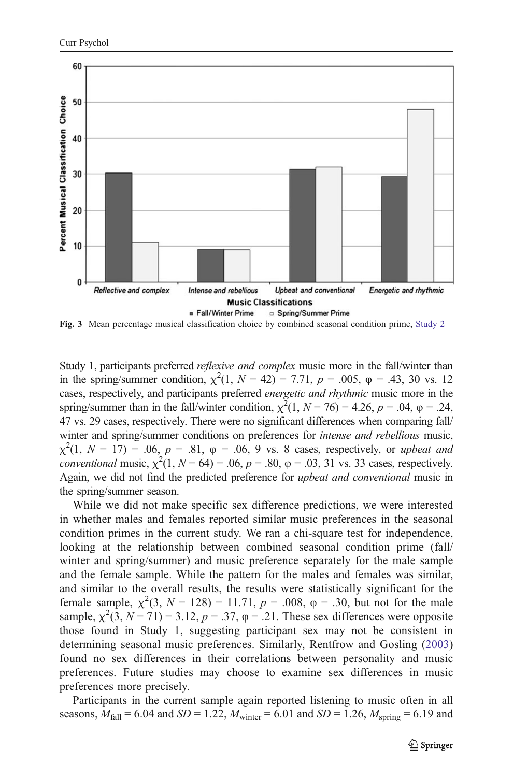<span id="page-10-0"></span>

Fig. 3 Mean percentage musical classification choice by combined seasonal condition prime, [Study 2](#page-7-0)

Study 1, participants preferred *reflexive and complex* music more in the fall/winter than in the spring/summer condition,  $\chi^2(1, N = 42) = 7.71, p = .005, \varphi = .43, 30$  vs. 12 cases, respectively, and participants preferred energetic and rhythmic music more in the spring/summer than in the fall/winter condition,  $\chi^2(1, N = 76) = 4.26$ ,  $p = .04$ ,  $\varphi = .24$ , 47 vs. 29 cases, respectively. There were no significant differences when comparing fall/ winter and spring/summer conditions on preferences for *intense and rebellious* music,  $\chi^2(1, N = 17) = .06, p = .81, \varphi = .06, 9$  vs. 8 cases, respectively, or upbeat and *conventional* music,  $\chi^2(1, N = 64) = .06$ ,  $p = .80$ ,  $\varphi = .03$ , 31 vs. 33 cases, respectively. Again, we did not find the predicted preference for upbeat and conventional music in the spring/summer season.

While we did not make specific sex difference predictions, we were interested in whether males and females reported similar music preferences in the seasonal condition primes in the current study. We ran a chi-square test for independence, looking at the relationship between combined seasonal condition prime (fall/ winter and spring/summer) and music preference separately for the male sample and the female sample. While the pattern for the males and females was similar, and similar to the overall results, the results were statistically significant for the female sample,  $\chi^2(3, N = 128) = 11.71$ ,  $p = .008$ ,  $φ = .30$ , but not for the male sample,  $\chi^2(3, N = 71) = 3.12, p = .37, \varphi = .21$ . These sex differences were opposite those found in Study 1, suggesting participant sex may not be consistent in determining seasonal music preferences. Similarly, Rentfrow and Gosling ([2003](#page-16-0)) found no sex differences in their correlations between personality and music preferences. Future studies may choose to examine sex differences in music preferences more precisely.

Participants in the current sample again reported listening to music often in all seasons,  $M_{\text{fall}} = 6.04$  and  $SD = 1.22$ ,  $M_{\text{winter}} = 6.01$  and  $SD = 1.26$ ,  $M_{\text{spring}} = 6.19$  and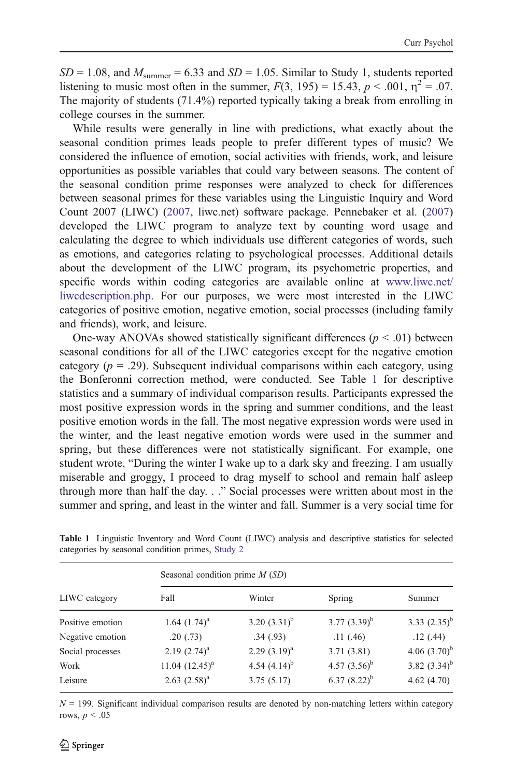$SD = 1.08$ , and  $M<sub>sumer</sub> = 6.33$  and  $SD = 1.05$ . Similar to Study 1, students reported listening to music most often in the summer,  $F(3, 195) = 15.43$ ,  $p < .001$ ,  $\eta^2 = .07$ . The majority of students (71.4%) reported typically taking a break from enrolling in college courses in the summer.

While results were generally in line with predictions, what exactly about the seasonal condition primes leads people to prefer different types of music? We considered the influence of emotion, social activities with friends, work, and leisure opportunities as possible variables that could vary between seasons. The content of the seasonal condition prime responses were analyzed to check for differences between seasonal primes for these variables using the Linguistic Inquiry and Word Count 2007 (LIWC) [\(2007](#page-16-0), liwc.net) software package. Pennebaker et al. [\(2007](#page-16-0)) developed the LIWC program to analyze text by counting word usage and calculating the degree to which individuals use different categories of words, such as emotions, and categories relating to psychological processes. Additional details about the development of the LIWC program, its psychometric properties, and specific words within coding categories are available online at [www.liwc.net/](http://www.liwc.net/liwcdescription.php) [liwcdescription.php](http://www.liwc.net/liwcdescription.php). For our purposes, we were most interested in the LIWC categories of positive emotion, negative emotion, social processes (including family and friends), work, and leisure.

One-way ANOVAs showed statistically significant differences ( $p < .01$ ) between seasonal conditions for all of the LIWC categories except for the negative emotion category ( $p = .29$ ). Subsequent individual comparisons within each category, using the Bonferonni correction method, were conducted. See Table 1 for descriptive statistics and a summary of individual comparison results. Participants expressed the most positive expression words in the spring and summer conditions, and the least positive emotion words in the fall. The most negative expression words were used in the winter, and the least negative emotion words were used in the summer and spring, but these differences were not statistically significant. For example, one student wrote, "During the winter I wake up to a dark sky and freezing. I am usually miserable and groggy, I proceed to drag myself to school and remain half asleep through more than half the day. . ." Social processes were written about most in the summer and spring, and least in the winter and fall. Summer is a very social time for

| LIWC category    | Seasonal condition prime $M(SD)$ |                   |                   |                   |
|------------------|----------------------------------|-------------------|-------------------|-------------------|
|                  | Fall                             | Winter            | Spring            | Summer            |
| Positive emotion | 1.64 $(1.74)^a$                  | 3.20 $(3.31)^b$   | 3.77 $(3.39)^b$   | 3.33 $(2.35)^{b}$ |
| Negative emotion | .20(.73)                         | .34(.93)          | .11(.46)          | .12(.44)          |
| Social processes | $2.19$ $(2.74)^a$                | 2.29 $(3.19)^a$   | 3.71(3.81)        | 4.06 $(3.70)^{b}$ |
| Work             | 11.04 $(12.45)^{a}$              | 4.54 $(4.14)^{b}$ | 4.57 $(3.56)^b$   | 3.82 $(3.34)^{b}$ |
| Leisure          | $2.63$ $(2.58)^a$                | 3.75(5.17)        | 6.37 $(8.22)^{b}$ | 4.62(4.70)        |

Table 1 Linguistic Inventory and Word Count (LIWC) analysis and descriptive statistics for selected categories by seasonal condition primes, [Study 2](#page-7-0)

 $N = 199$ . Significant individual comparison results are denoted by non-matching letters within category rows,  $p < .05$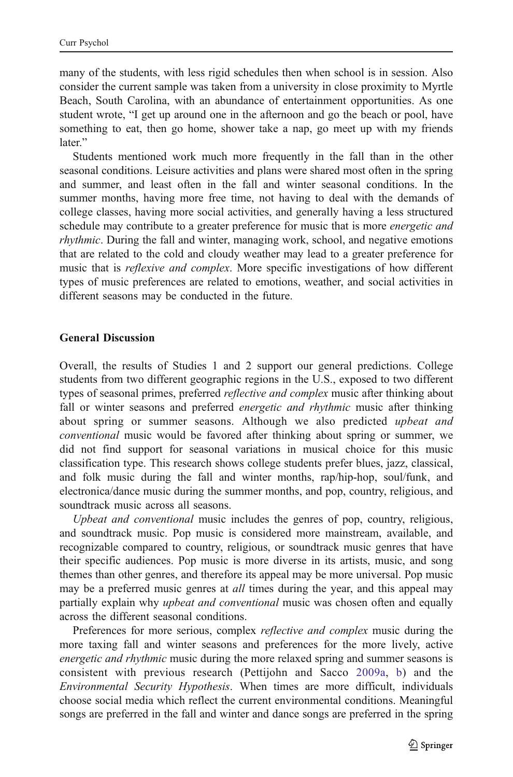many of the students, with less rigid schedules then when school is in session. Also consider the current sample was taken from a university in close proximity to Myrtle Beach, South Carolina, with an abundance of entertainment opportunities. As one student wrote, "I get up around one in the afternoon and go the beach or pool, have something to eat, then go home, shower take a nap, go meet up with my friends later"

Students mentioned work much more frequently in the fall than in the other seasonal conditions. Leisure activities and plans were shared most often in the spring and summer, and least often in the fall and winter seasonal conditions. In the summer months, having more free time, not having to deal with the demands of college classes, having more social activities, and generally having a less structured schedule may contribute to a greater preference for music that is more *energetic and* rhythmic. During the fall and winter, managing work, school, and negative emotions that are related to the cold and cloudy weather may lead to a greater preference for music that is *reflexive and complex*. More specific investigations of how different types of music preferences are related to emotions, weather, and social activities in different seasons may be conducted in the future.

### General Discussion

Overall, the results of Studies 1 and 2 support our general predictions. College students from two different geographic regions in the U.S., exposed to two different types of seasonal primes, preferred *reflective and complex* music after thinking about fall or winter seasons and preferred *energetic and rhythmic* music after thinking about spring or summer seasons. Although we also predicted upbeat and conventional music would be favored after thinking about spring or summer, we did not find support for seasonal variations in musical choice for this music classification type. This research shows college students prefer blues, jazz, classical, and folk music during the fall and winter months, rap/hip-hop, soul/funk, and electronica/dance music during the summer months, and pop, country, religious, and soundtrack music across all seasons.

Upbeat and conventional music includes the genres of pop, country, religious, and soundtrack music. Pop music is considered more mainstream, available, and recognizable compared to country, religious, or soundtrack music genres that have their specific audiences. Pop music is more diverse in its artists, music, and song themes than other genres, and therefore its appeal may be more universal. Pop music may be a preferred music genres at *all* times during the year, and this appeal may partially explain why *upbeat and conventional* music was chosen often and equally across the different seasonal conditions.

Preferences for more serious, complex *reflective and complex* music during the more taxing fall and winter seasons and preferences for the more lively, active energetic and rhythmic music during the more relaxed spring and summer seasons is consistent with previous research (Pettijohn and Sacco [2009a](#page-16-0), [b\)](#page-16-0) and the Environmental Security Hypothesis. When times are more difficult, individuals choose social media which reflect the current environmental conditions. Meaningful songs are preferred in the fall and winter and dance songs are preferred in the spring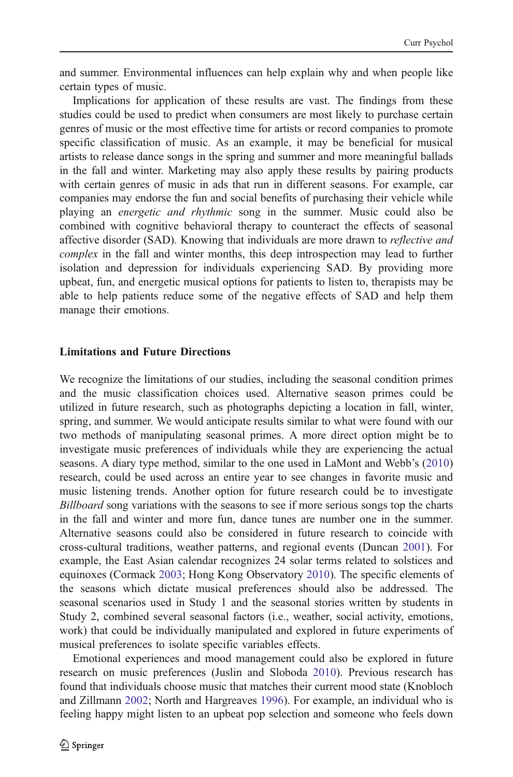and summer. Environmental influences can help explain why and when people like certain types of music.

Implications for application of these results are vast. The findings from these studies could be used to predict when consumers are most likely to purchase certain genres of music or the most effective time for artists or record companies to promote specific classification of music. As an example, it may be beneficial for musical artists to release dance songs in the spring and summer and more meaningful ballads in the fall and winter. Marketing may also apply these results by pairing products with certain genres of music in ads that run in different seasons. For example, car companies may endorse the fun and social benefits of purchasing their vehicle while playing an energetic and rhythmic song in the summer. Music could also be combined with cognitive behavioral therapy to counteract the effects of seasonal affective disorder (SAD). Knowing that individuals are more drawn to reflective and complex in the fall and winter months, this deep introspection may lead to further isolation and depression for individuals experiencing SAD. By providing more upbeat, fun, and energetic musical options for patients to listen to, therapists may be able to help patients reduce some of the negative effects of SAD and help them manage their emotions.

#### Limitations and Future Directions

We recognize the limitations of our studies, including the seasonal condition primes and the music classification choices used. Alternative season primes could be utilized in future research, such as photographs depicting a location in fall, winter, spring, and summer. We would anticipate results similar to what were found with our two methods of manipulating seasonal primes. A more direct option might be to investigate music preferences of individuals while they are experiencing the actual seasons. A diary type method, similar to the one used in LaMont and Webb's [\(2010](#page-16-0)) research, could be used across an entire year to see changes in favorite music and music listening trends. Another option for future research could be to investigate Billboard song variations with the seasons to see if more serious songs top the charts in the fall and winter and more fun, dance tunes are number one in the summer. Alternative seasons could also be considered in future research to coincide with cross-cultural traditions, weather patterns, and regional events (Duncan [2001](#page-16-0)). For example, the East Asian calendar recognizes 24 solar terms related to solstices and equinoxes (Cormack [2003](#page-16-0); Hong Kong Observatory [2010\)](#page-16-0). The specific elements of the seasons which dictate musical preferences should also be addressed. The seasonal scenarios used in Study 1 and the seasonal stories written by students in Study 2, combined several seasonal factors (i.e., weather, social activity, emotions, work) that could be individually manipulated and explored in future experiments of musical preferences to isolate specific variables effects.

Emotional experiences and mood management could also be explored in future research on music preferences (Juslin and Sloboda [2010](#page-16-0)). Previous research has found that individuals choose music that matches their current mood state (Knobloch and Zillmann [2002](#page-16-0); North and Hargreaves [1996](#page-16-0)). For example, an individual who is feeling happy might listen to an upbeat pop selection and someone who feels down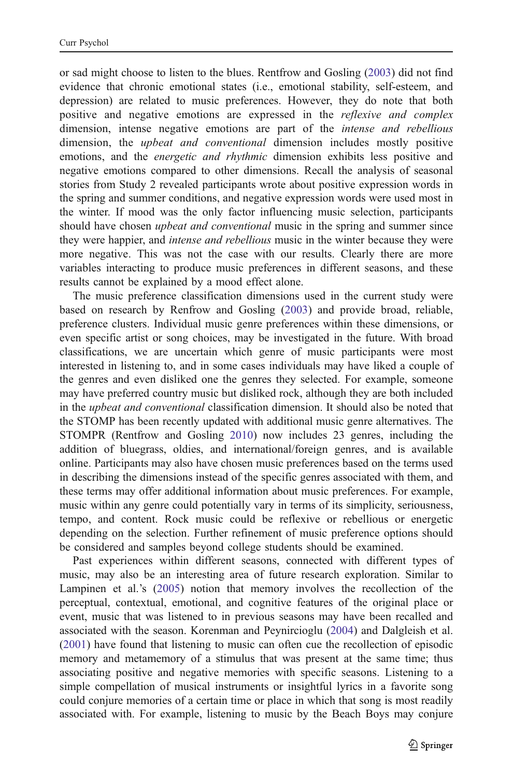or sad might choose to listen to the blues. Rentfrow and Gosling [\(2003](#page-16-0)) did not find evidence that chronic emotional states (i.e., emotional stability, self-esteem, and depression) are related to music preferences. However, they do note that both positive and negative emotions are expressed in the reflexive and complex dimension, intense negative emotions are part of the intense and rebellious dimension, the *upbeat and conventional* dimension includes mostly positive emotions, and the *energetic and rhythmic* dimension exhibits less positive and negative emotions compared to other dimensions. Recall the analysis of seasonal stories from Study 2 revealed participants wrote about positive expression words in the spring and summer conditions, and negative expression words were used most in the winter. If mood was the only factor influencing music selection, participants should have chosen *upbeat and conventional* music in the spring and summer since they were happier, and *intense and rebellious* music in the winter because they were more negative. This was not the case with our results. Clearly there are more variables interacting to produce music preferences in different seasons, and these results cannot be explained by a mood effect alone.

The music preference classification dimensions used in the current study were based on research by Renfrow and Gosling [\(2003](#page-16-0)) and provide broad, reliable, preference clusters. Individual music genre preferences within these dimensions, or even specific artist or song choices, may be investigated in the future. With broad classifications, we are uncertain which genre of music participants were most interested in listening to, and in some cases individuals may have liked a couple of the genres and even disliked one the genres they selected. For example, someone may have preferred country music but disliked rock, although they are both included in the upbeat and conventional classification dimension. It should also be noted that the STOMP has been recently updated with additional music genre alternatives. The STOMPR (Rentfrow and Gosling [2010](#page-16-0)) now includes 23 genres, including the addition of bluegrass, oldies, and international/foreign genres, and is available online. Participants may also have chosen music preferences based on the terms used in describing the dimensions instead of the specific genres associated with them, and these terms may offer additional information about music preferences. For example, music within any genre could potentially vary in terms of its simplicity, seriousness, tempo, and content. Rock music could be reflexive or rebellious or energetic depending on the selection. Further refinement of music preference options should be considered and samples beyond college students should be examined.

Past experiences within different seasons, connected with different types of music, may also be an interesting area of future research exploration. Similar to Lampinen et al.'s [\(2005](#page-16-0)) notion that memory involves the recollection of the perceptual, contextual, emotional, and cognitive features of the original place or event, music that was listened to in previous seasons may have been recalled and associated with the season. Korenman and Peynircioglu [\(2004](#page-16-0)) and Dalgleish et al. [\(2001](#page-16-0)) have found that listening to music can often cue the recollection of episodic memory and metamemory of a stimulus that was present at the same time; thus associating positive and negative memories with specific seasons. Listening to a simple compellation of musical instruments or insightful lyrics in a favorite song could conjure memories of a certain time or place in which that song is most readily associated with. For example, listening to music by the Beach Boys may conjure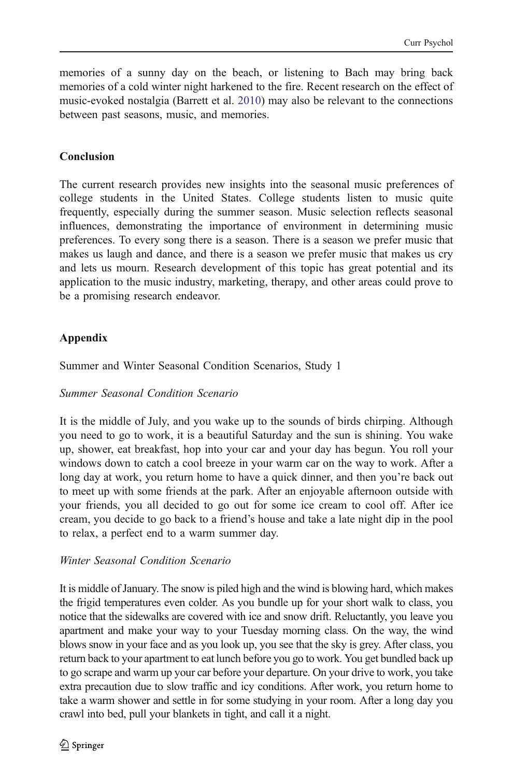<span id="page-15-0"></span>memories of a sunny day on the beach, or listening to Bach may bring back memories of a cold winter night harkened to the fire. Recent research on the effect of music-evoked nostalgia (Barrett et al. [2010\)](#page-16-0) may also be relevant to the connections between past seasons, music, and memories.

### Conclusion

The current research provides new insights into the seasonal music preferences of college students in the United States. College students listen to music quite frequently, especially during the summer season. Music selection reflects seasonal influences, demonstrating the importance of environment in determining music preferences. To every song there is a season. There is a season we prefer music that makes us laugh and dance, and there is a season we prefer music that makes us cry and lets us mourn. Research development of this topic has great potential and its application to the music industry, marketing, therapy, and other areas could prove to be a promising research endeavor.

### Appendix

Summer and Winter Seasonal Condition Scenarios, Study 1

#### Summer Seasonal Condition Scenario

It is the middle of July, and you wake up to the sounds of birds chirping. Although you need to go to work, it is a beautiful Saturday and the sun is shining. You wake up, shower, eat breakfast, hop into your car and your day has begun. You roll your windows down to catch a cool breeze in your warm car on the way to work. After a long day at work, you return home to have a quick dinner, and then you're back out to meet up with some friends at the park. After an enjoyable afternoon outside with your friends, you all decided to go out for some ice cream to cool off. After ice cream, you decide to go back to a friend's house and take a late night dip in the pool to relax, a perfect end to a warm summer day.

#### Winter Seasonal Condition Scenario

It is middle of January. The snow is piled high and the wind is blowing hard, which makes the frigid temperatures even colder. As you bundle up for your short walk to class, you notice that the sidewalks are covered with ice and snow drift. Reluctantly, you leave you apartment and make your way to your Tuesday morning class. On the way, the wind blows snow in your face and as you look up, you see that the sky is grey. After class, you return back to your apartment to eat lunch before you go to work. You get bundled back up to go scrape and warm up your car before your departure. On your drive to work, you take extra precaution due to slow traffic and icy conditions. After work, you return home to take a warm shower and settle in for some studying in your room. After a long day you crawl into bed, pull your blankets in tight, and call it a night.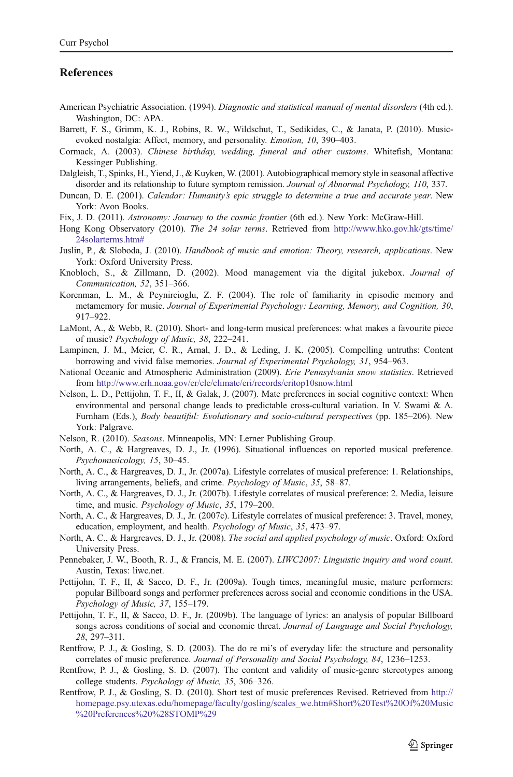#### <span id="page-16-0"></span>References

- American Psychiatric Association. (1994). Diagnostic and statistical manual of mental disorders (4th ed.). Washington, DC: APA.
- Barrett, F. S., Grimm, K. J., Robins, R. W., Wildschut, T., Sedikides, C., & Janata, P. (2010). Musicevoked nostalgia: Affect, memory, and personality. Emotion, 10, 390–403.
- Cormack, A. (2003). Chinese birthday, wedding, funeral and other customs. Whitefish, Montana: Kessinger Publishing.
- Dalgleish, T., Spinks, H., Yiend, J., & Kuyken, W. (2001). Autobiographical memory style in seasonal affective disorder and its relationship to future symptom remission. Journal of Abnormal Psychology, 110, 337.
- Duncan, D. E. (2001). Calendar: Humanity's epic struggle to determine a true and accurate year. New York: Avon Books.
- Fix, J. D. (2011). Astronomy: Journey to the cosmic frontier (6th ed.). New York: McGraw-Hill.
- Hong Kong Observatory (2010). The 24 solar terms. Retrieved from [http://www.hko.gov.hk/gts/time/](http://www.hko.gov.hk/gts/time/24solarterms.htm#) [24solarterms.htm#](http://www.hko.gov.hk/gts/time/24solarterms.htm#)
- Juslin, P., & Sloboda, J. (2010). Handbook of music and emotion: Theory, research, applications. New York: Oxford University Press.
- Knobloch, S., & Zillmann, D. (2002). Mood management via the digital jukebox. Journal of Communication, 52, 351–366.
- Korenman, L. M., & Peynircioglu, Z. F. (2004). The role of familiarity in episodic memory and metamemory for music. Journal of Experimental Psychology: Learning, Memory, and Cognition, 30, 917–922.
- LaMont, A., & Webb, R. (2010). Short- and long-term musical preferences: what makes a favourite piece of music? Psychology of Music, 38, 222–241.
- Lampinen, J. M., Meier, C. R., Arnal, J. D., & Leding, J. K. (2005). Compelling untruths: Content borrowing and vivid false memories. Journal of Experimental Psychology, 31, 954–963.
- National Oceanic and Atmospheric Administration (2009). Erie Pennsylvania snow statistics. Retrieved from <http://www.erh.noaa.gov/er/cle/climate/eri/records/eritop10snow.html>
- Nelson, L. D., Pettijohn, T. F., II, & Galak, J. (2007). Mate preferences in social cognitive context: When environmental and personal change leads to predictable cross-cultural variation. In V. Swami & A. Furnham (Eds.), Body beautiful: Evolutionary and socio-cultural perspectives (pp. 185–206). New York: Palgrave.
- Nelson, R. (2010). Seasons. Minneapolis, MN: Lerner Publishing Group.
- North, A. C., & Hargreaves, D. J., Jr. (1996). Situational influences on reported musical preference. Psychomusicology, 15, 30–45.
- North, A. C., & Hargreaves, D. J., Jr. (2007a). Lifestyle correlates of musical preference: 1. Relationships, living arrangements, beliefs, and crime. Psychology of Music, 35, 58–87.
- North, A. C., & Hargreaves, D. J., Jr. (2007b). Lifestyle correlates of musical preference: 2. Media, leisure time, and music. Psychology of Music, 35, 179–200.
- North, A. C., & Hargreaves, D. J., Jr. (2007c). Lifestyle correlates of musical preference: 3. Travel, money, education, employment, and health. Psychology of Music, 35, 473–97.
- North, A. C., & Hargreaves, D. J., Jr. (2008). The social and applied psychology of music. Oxford: Oxford University Press.
- Pennebaker, J. W., Booth, R. J., & Francis, M. E. (2007). LIWC2007: Linguistic inquiry and word count. Austin, Texas: liwc.net.
- Pettijohn, T. F., II, & Sacco, D. F., Jr. (2009a). Tough times, meaningful music, mature performers: popular Billboard songs and performer preferences across social and economic conditions in the USA. Psychology of Music, 37, 155–179.
- Pettijohn, T. F., II, & Sacco, D. F., Jr. (2009b). The language of lyrics: an analysis of popular Billboard songs across conditions of social and economic threat. Journal of Language and Social Psychology, 28, 297–311.
- Rentfrow, P. J., & Gosling, S. D. (2003). The do re mi's of everyday life: the structure and personality correlates of music preference. Journal of Personality and Social Psychology, 84, 1236–1253.
- Rentfrow, P. J., & Gosling, S. D. (2007). The content and validity of music-genre stereotypes among college students. Psychology of Music, 35, 306–326.
- Rentfrow, P. J., & Gosling, S. D. (2010). Short test of music preferences Revised. Retrieved from [http://](http://homepage.psy.utexas.edu/homepage/faculty/gosling/scales_we.htm#Short%20Test%20Of%20Music%20Preferences%20%28STOMP%29) [homepage.psy.utexas.edu/homepage/faculty/gosling/scales\\_we.htm#Short%20Test%20Of%20Music](http://homepage.psy.utexas.edu/homepage/faculty/gosling/scales_we.htm#Short%20Test%20Of%20Music%20Preferences%20%28STOMP%29) [%20Preferences%20%28STOMP%29](http://homepage.psy.utexas.edu/homepage/faculty/gosling/scales_we.htm#Short%20Test%20Of%20Music%20Preferences%20%28STOMP%29)